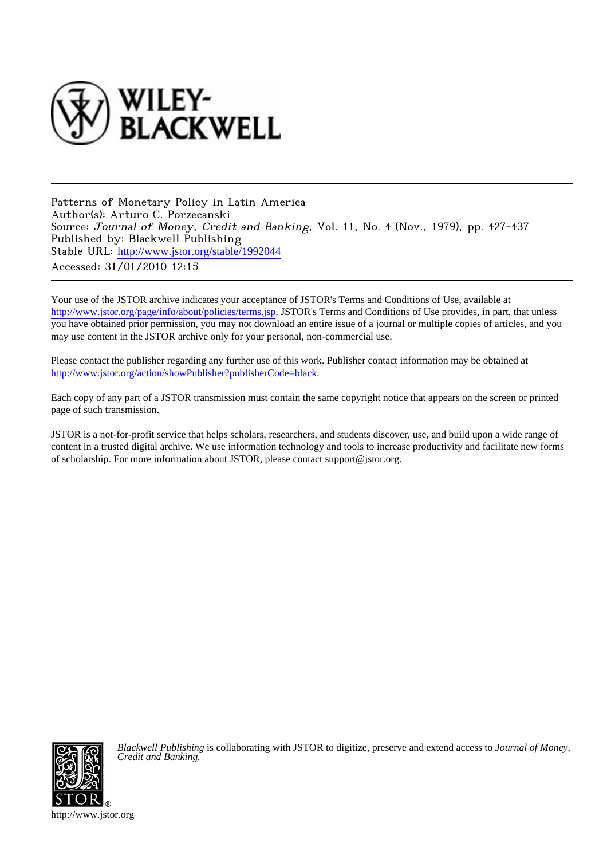

Patterns of Monetary Policy in Latin America Author(s): Arturo C. Porzecanski Source: Journal of Money, Credit and Banking, Vol. 11, No. 4 (Nov., 1979), pp. 427-437 Published by: Blackwell Publishing Stable URL: [http://www.jstor.org/stable/1992044](http://www.jstor.org/stable/1992044?origin=JSTOR-pdf) Accessed: 31/01/2010 12:15

Your use of the JSTOR archive indicates your acceptance of JSTOR's Terms and Conditions of Use, available at <http://www.jstor.org/page/info/about/policies/terms.jsp>. JSTOR's Terms and Conditions of Use provides, in part, that unless you have obtained prior permission, you may not download an entire issue of a journal or multiple copies of articles, and you may use content in the JSTOR archive only for your personal, non-commercial use.

Please contact the publisher regarding any further use of this work. Publisher contact information may be obtained at [http://www.jstor.org/action/showPublisher?publisherCode=black.](http://www.jstor.org/action/showPublisher?publisherCode=black)

Each copy of any part of a JSTOR transmission must contain the same copyright notice that appears on the screen or printed page of such transmission.

JSTOR is a not-for-profit service that helps scholars, researchers, and students discover, use, and build upon a wide range of content in a trusted digital archive. We use information technology and tools to increase productivity and facilitate new forms of scholarship. For more information about JSTOR, please contact support@jstor.org.



*Blackwell Publishing* is collaborating with JSTOR to digitize, preserve and extend access to *Journal of Money, Credit and Banking.*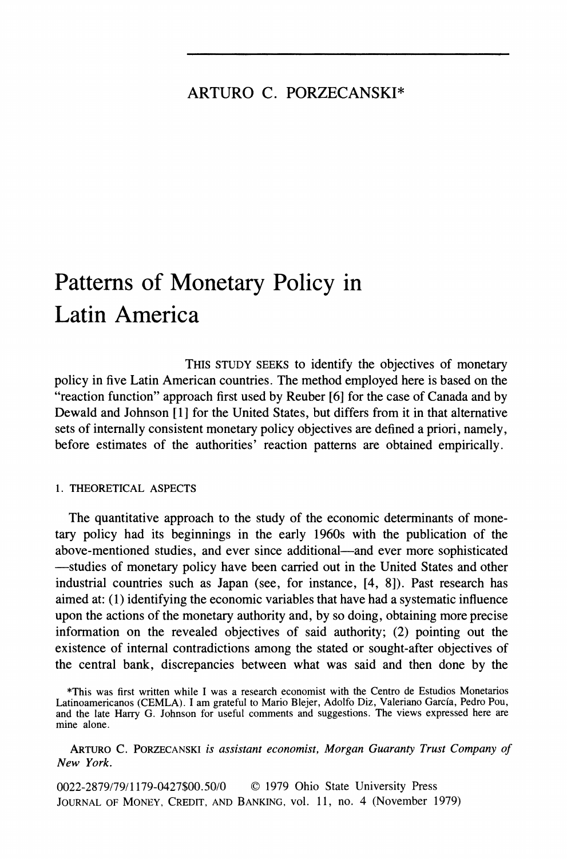# **Patterns of Monetary Policy in Latin America**

**THIS STIJDY SEEKS to identify the objectives of monetary policy in five Latin American countries. The method employed here is based on the "reaction function" approach first used by Reuber [6] for the case of Canada and by Dewald and Johnson [1] for the United States, but differs from it in that alternative sets of internally consistent monetary policy objectives are defined a priori, namely, before estimates of the authorities' reaction patterns are obtained empirically.** 

# **1. THEORETICAL ASPECTS**

**The quantitative approach to the study of the economic determinants of monetary policy had its beginnings in the early 1960s with the publication of the above-mentioned studies, and ever since additional-and ever more sophisticated studies of monetary policy have been carried out in the United States and other industrial countries such as Japan (see, for instance, [4, 8]). Past research has aimed at: (1) identifying the economic variables that have had a systematic influence upon the actions of the monetary authority and, by so doing, obtaining more precise information on the revealed objectives of said authority; (2) pointing out the existence of internal contradictions among the stated or sought-after objectives of the central bank, discrepancies between what was said and then done by the** 

**\*This was first written while I was a research economist with the Centro de Estudios Monetarios**  Latinoamericanos (CEMLA). I am grateful to Mario Blejer, Adolfo Diz, Valeriano García, Pedro Pou, **and the late Harry G Johnson for usefut comments and suggestions The views expressed here are mine alone.** 

**ARTURO C. PORZECANSKI is assistant economist, Morgan Guaranty Trust Company of New York.** 

0022-2879/79/1179-0427\$00.50/0 © 1979 Ohio State University Press **JOURNAL OF MONEY, CREDIT, AND BANKING, vol. 11, no. 4 (November 1979)**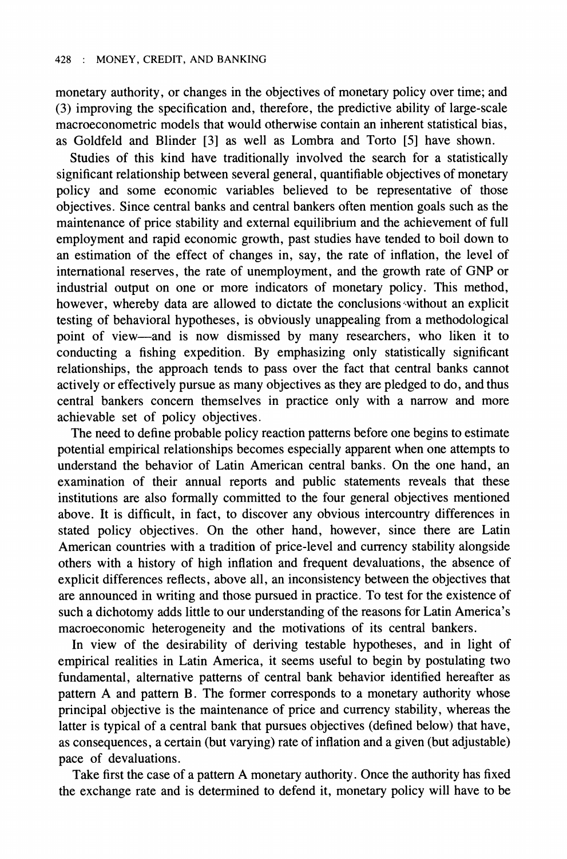**monetary authority, or changes in the objectives of monetary policy over time; and (3) improving the specification and, therefore, the predictive ability of large-scale macroeconometric models that would otherwise contain an inherent statistical bias, as Goldfeld and Blinder [3] as well as Lombra and Torto [5] have shown.** 

**Studies of this kind have traditionally involved the search for a statistically significant relationship between several general, quantifiable objectives of monetary policy and some economic variables believed to be representative of those objectives. Since central banks and central bankers often mention goals such as the maintenance of price stability and external equilibrium and the achievement of full employment and rapid economic growth, past studies have tended to boil down to an estimation of the effect of changes in, say, the rate of inflation, the level of international reserves, the rate of unemployment, and the growth rate of GNP or industrial output on one or more indicators of monetary policy. This method,**  however, whereby data are allowed to dictate the conclusions without an explicit **testing of behavioral hypotheses, is obviously unappealing from a methodological**  point of view-and is now dismissed by many researchers, who liken it to **conducting a fishing expedition. By emphasizing only statistically significant relationships, the approach tends to pass over the fact that central banks cannot actively or effectively pursue as many objectives as they are pledged to do, and thus central bankers concern themselves in practice only with a narrow and more achievable set of policy objectives.** 

**The need to define probable policy reaction patterns before one begins to estimate potential empirical relationships becomes especially apparent when one attempts to understand the behavior of Latin American central banks. On the one hand, an examination of their annual reports and public statements reveals that these institutions are also formally committed to the four general objectives mentioned above. It is difficult, in fact, to discover any obvious intercountry differences in stated policy objectives. On the other hand, however, since there are Latin American countries with a tradition of price-level and currency stability alongside others with a history of high inflation and frequent devaluations, the absence of explicit differences reflects, above all, an inconsistency between the objectives that are announced in writing and those pursued in practice. To test for the existence of**  such a dichotomy adds little to our understanding of the reasons for Latin America's **macroeconomic heterogeneity and the motivations of its central bankers.** 

**In view of the desirability of deriving testable hypotheses, and in light of empirical realities in Latin America, it seems useful to begin by postulating two fundamental, alternative patterns of central bank behavior identified hereafter as pattern A and pattern B. The former corresponds to a monetary authority whose principal objective is the maintenance of price and currency stability, whereas the latter is typical of a central bank that pursues objectives (defined below) that have, as consequences, a certain (but varying) rate of inflation and a given (but adjustable) pace of devaluations.** 

**Take first the case of a pattern A monetary authority. Once the authority has fixed the exchange rate and is determined to defend it, monetary policy will have to be**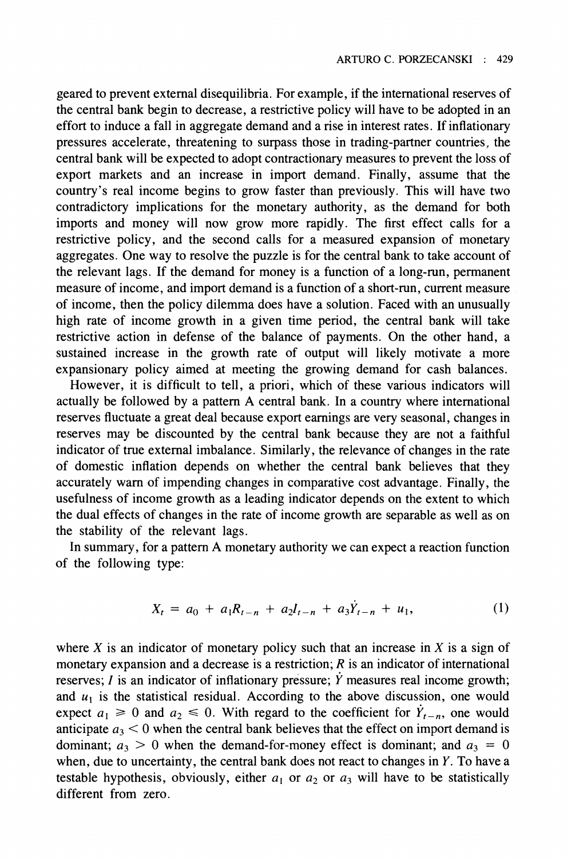**geared to prevent external disequilibria. For example, if the international reserves of the central bank begin to decrease, a restrictive policy will have to be adopted in an effort to induce a fall in aggregate demand and a rise in interest rates. If inflationary**  pressures accelerate, threatening to surpass those in trading-partner countries, the central bank will be expected to adopt contractionary measures to prevent the loss of **export markets and an increase in import demand. Finally, assume that the country's real income begins to grow faster than previously. This will have two contradictory implications for the monetary authority, as the demand for both imports and money will now grow more rapidly. The first effect calls for a restrictive policy, and the second calls for a measured expansion of monetary aggregates. One way to resolve the puzzle is for the central bank to take account of the relevant lags. If the demand for money is a function of a long-run, permanent measure of income, and import demand is a function of a short-run, current measure of income, then the policy dilemma does have a solution. Faced with an unusually high rate of income growth in a given time period, the central bank will take restrictive action in defense of the balance of payments. On the other hand, a sustained increase in the growth rate of output will likely motivate a more expansionary policy aimed at meeting the growing demand for cash balances.** 

**However, it is difficult to tell, a priori, which of these various indicators will actually be followed by a pattern A central bank. In a country where international reserves fluctuate a great deal because export eamings are very seasonal, changes in reserves may be discounted by the central bank because they are not a faithful indicator of true external imbalance. Similarly, the relevance of changes in the rate of domestic inflation depends on whether the central bank believes that they accurately warn of impending changes in comparative cost advantage. Finally, the usefulness of income growth as a leading indicator depends on the extent to which the dual effects of changes in the rate of income growth are separable as well as on the stability of the relevant lags.** 

**In summary, for a pattern A monetary authority we can expect a reaction function of the following type:** 

$$
X_t = a_0 + a_1 R_{t-n} + a_2 I_{t-n} + a_3 Y_{t-n} + u_1,
$$
 (1)

where  $X$  is an indicator of monetary policy such that an increase in  $X$  is a sign of monetary expansion and a decrease is a restriction; R is an indicator of international reserves; I is an indicator of inflationary pressure;  $\dot{Y}$  measures real income growth; and  $u_1$  is the statistical residual. According to the above discussion, one would expect  $a_1 \ge 0$  and  $a_2 \le 0$ . With regard to the coefficient for  $\dot{Y}_{t-n}$ , one would anticipate  $a_3 < 0$  when the central bank believes that the effect on import demand is dominant;  $a_3 > 0$  when the demand-for-money effect is dominant; and  $a_3 = 0$ **when, due to uncertainty, the central bank does not react to changes in Y. To have a**  testable hypothesis, obviously, either  $a_1$  or  $a_2$  or  $a_3$  will have to be statistically **different from zero.**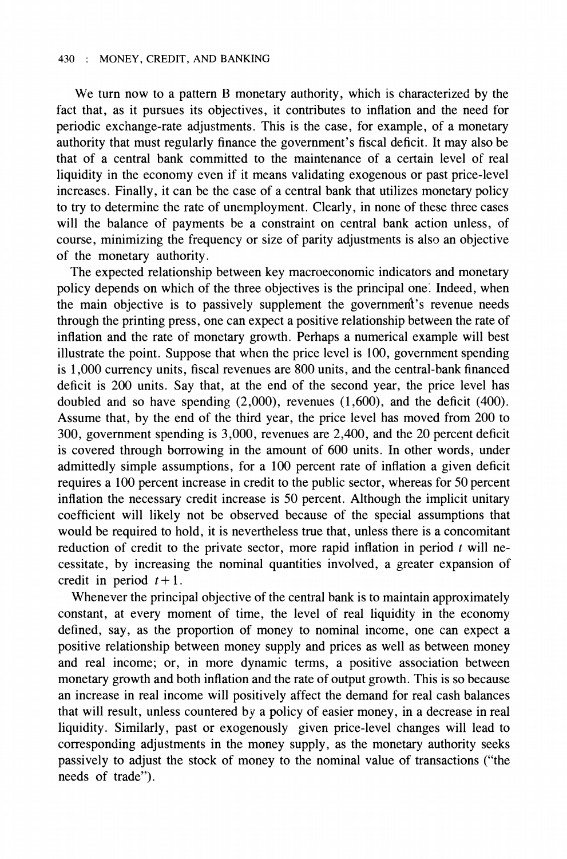We turn now to a pattern B monetary authority, which is characterized by the **fact that, as it pursues its objectives, it contributes to inflation and the need for periodic exchange-rate adjustments. This is the case, for example, of a monetary authority that must regularly finance the government's fiscal deficit. It may also be that of a central bank committed to the maintenance of a certain level of real liquidity in the economy even if it means validating exogenous or past price-level increases. Finally, it can be the case of a central bank that utilizes monetary policy to try to determine the rate of unemployment. Clearly, in none of these three cases will the balance of payments be a constraint on central bank action unless, of course, minimizing the frequency or size of parity adjustments is also an objective of the monetary authority.** 

**The expected relationship between key macroeconomic indicators and monetary policy depends on which of the three objectives is the principal one: Indeed, when**  the main objective is to passively supplement the government's revenue needs **through the printing press, one can expect a positive relationship between the rate of inflation and the rate of monetary growth. Perhaps a numerical example will best illustrate the point. Suppose that when the price level is 100, government spending is 1,000 currency units, fiscal revenues are 800 units, and the central-bank financed deficit is 200 units. Say that, at the end of the second year, the price level has doubled and so have spending (2,000), revenues (1,600), and the deficit (400). Assume that, by the end of the third year, the price level has moved from 200 to 300, government spending is 3,000, revenues are 2,400, and the 20 percent deficit is covered through borrowing in the amount of 600 units. In other words, under admittedly simple assumptions, for a 100 percent rate of inflation a given deficit requires a 100 percent increase in credit to the public sector, whereas for 50 percent inflation the necessary credit increase is 50 percent. Although the implicit unitary coefficient will likely not be observed because of the special assumptions that would be required to hold, it is nevertheless true that, unless there is a concomitant**  reduction of credit to the private sector, more rapid inflation in period *t* will ne**cessitate, by increasing the nominal quantities involved, a greater expansion of**  credit in period  $t+1$ .

**Whenever the principal objective of the central bank is to maintain approximately constant, at every moment of time, the level of real liquidity in the economy**  defined, say, as the proportion of money to nominal income, one can expect a **positive relationship between money supply and prices as well as between money and real income; or, in more dynamic terms, a positive association between monetary growth and both inflation and the rate of output growth. This is so because an increase in real income will positively affect the demand for real cash balances that will result, unless countered by a policy of easier money, in a decrease in real liquidity. Similarly, past or exogenously given price-level changes will lead to corresponding adjustments in the money supply, as the monetary authority seeks passively to adjust the stock of money to the nominal value of transactions ("the needs of trade").**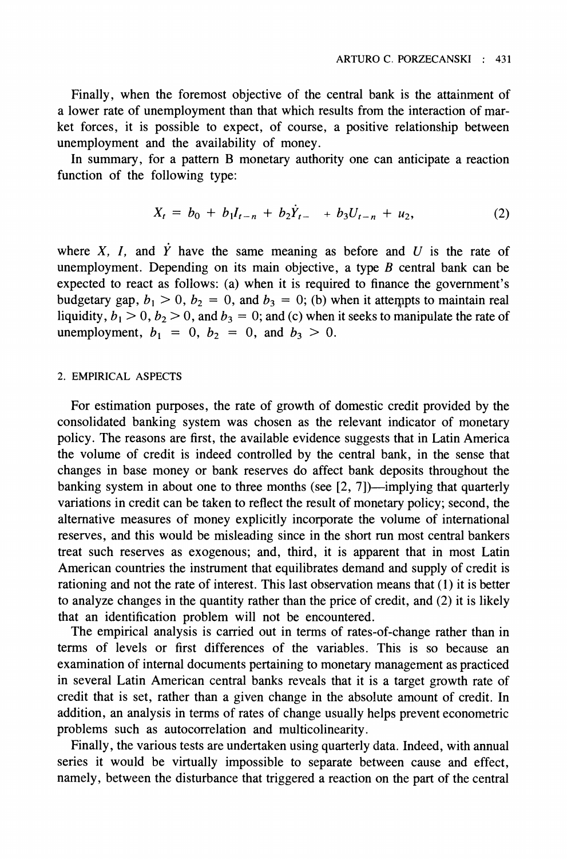**Finally, when the foremost objective of the central bank is the attainment of a lower rate of unemployment than that which results from the interaction of market forces, it is possible to expect, of course, a positive relationship between unemployment and the availability of money.** 

**In summary, for a pattern B monetary authority one can anticipate a reaction function of the following type:** 

$$
X_t = b_0 + b_1 I_{t-n} + b_2 \dot{Y}_{t-} + b_3 U_{t-n} + u_2, \qquad (2)
$$

where  $X$ ,  $I$ , and  $\dot{Y}$  have the same meaning as before and  $U$  is the rate of **unemployment. Depending on its main objective, a type B central bank can be**  expected to react as follows: (a) when it is required to finance the government's budgetary gap,  $b_1 > 0$ ,  $b_2 = 0$ , and  $b_3 = 0$ ; (b) when it attempts to maintain real liquidity,  $b_1 > 0$ ,  $b_2 > 0$ , and  $b_3 = 0$ ; and (c) when it seeks to manipulate the rate of unemployment,  $b_1 = 0$ ,  $b_2 = 0$ , and  $b_3 > 0$ .

## **2. EMPIRICAL ASPECTS**

**For estimation purposes, the rate of growth of domestic credit provided by the consolidated banking system was chosen as the relevant indicator of monetary policy. The reasons are first, the available evidence suggests that in Latin America the volume of credit is indeed controlled by the central bank, in the sense that changes in base money or bank reserves do affect bank deposits throughout the**  banking system in about one to three months (see [2, 7])—implying that quarterly **variations in credit can be taken to reflect the result of monetary policy; second, the alternative measures of money explicitly incorporate the volume of international reserves, and this would be misleading since in the short run most central bankers treat such reserves as exogenous; and, third, it is apparent that in most Latin American countries the instrument that equilibrates demand and supply of credit is rationing and not the rate of interest. This last observation means that (1) it is better to analyze changes in the quantity rather than the price of credit, and (2) it is likely that an identification problem will not be encountered.** 

**The empirical analysis is carried out in terms of rates-of-change rather than in terms of levels or first differences of the variables. This is so because an examination of internal documents pertaining to monetary management as practiced in several Latin American central banks reveals that it is a target growth rate of credit that is set, rather than a given change in the absolute amount of credit. In addition, an analysis in terms of rates of change usually helps prevent econometric problems such as autocorrelation and multicolinearity.** 

**Finally, the various tests are undertaken using quarterly data. Indeed, with annual series it would be virtually impossible to separate between cause and effect, namely, between the disturbance that triggered a reaction on the part of the central**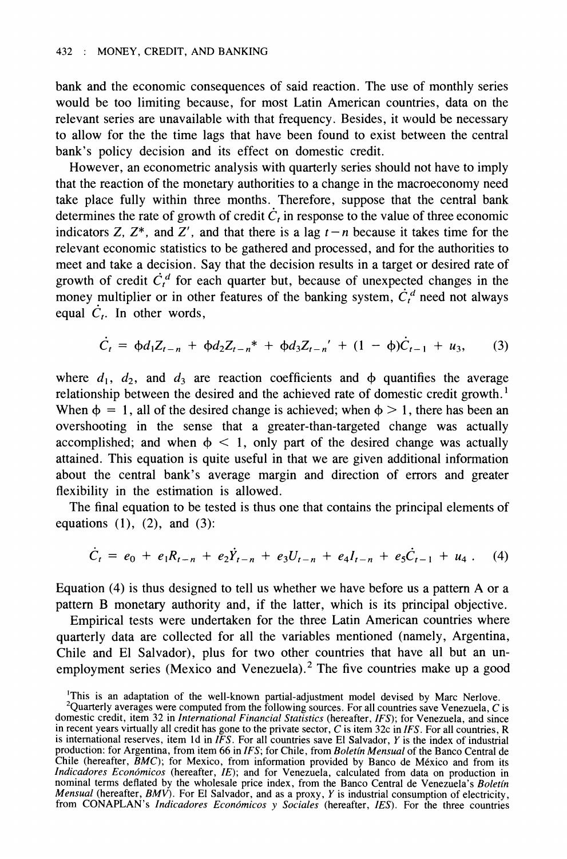**bank and the economic consequences of said reaction. The use of monthly series would be too limiting because, for most Latin American countries, data on the relevant series are unavailable with that frequency. Besides, it would be necessary to allow for the the time lags that have been found to exist between the central bank's policy decision and its effect on domestic credit.** 

**However, an econometric analysis with quarterly series should not have to imply that the reaction of the monetary authorities to a change in the macroeconomy need take place fully within three months. Therefore, suppose that the central bank**  determines the rate of growth of credit  $\dot{C}_t$  in response to the value of three economic indicators Z,  $Z^*$ , and  $Z'$ , and that there is a lag  $t - n$  because it takes time for the **relevant economic statistics to be gathered and processed, and for the authorities to meet and take a decision. Say that the decision results in a target or desired rate of**  growth of credit  $\dot{C}_t^d$  for each quarter but, because of unexpected changes in the money multiplier or in other features of the banking system,  $\dot{C}_t^d$  need not always equal  $C_t$ . In other words,

$$
\dot{C}_t = \phi d_1 Z_{t-n} + \phi d_2 Z_{t-n}^* + \phi d_3 Z_{t-n}^{\prime} + (1-\phi)\dot{C}_{t-1} + u_3,\qquad(3)
$$

where  $d_1$ ,  $d_2$ , and  $d_3$  are reaction coefficients and  $\phi$  quantifies the average **relationship between the desired and the achieved rate of domestic credit growth. 1**  When  $\phi = 1$ , all of the desired change is achieved; when  $\phi > 1$ , there has been an **overshooting in the sense that a greater-than-targeted change was actually**  accomplished; and when  $\phi \leq 1$ , only part of the desired change was actually **attained. This equation is quite useful in that we are given additional information about the central bank's average margin and direction of errors and greater flexibility in the estimation is allowed.** 

**The final equation to be tested is thus one that contains the principal elements of equations (1), (2), and (3):** 

$$
\dot{C}_t = e_0 + e_1 R_{t-n} + e_2 \dot{Y}_{t-n} + e_3 U_{t-n} + e_4 I_{t-n} + e_5 \dot{C}_{t-1} + u_4 \tag{4}
$$

**Equation (4) is thus designed to tell us whether we have before us a pattern A or a pattern B monetary authority and, if the latter, which is its principal objective.** 

**Empirical tests were undertaken for the three Latin American countries where quarterly data are collected for all the variables mentioned (namely, Argentina, Chile and E1 Salvador), plus for two other countries that have all but an unemployment series (Mexico and Venezuela).2 The five countries make up a good** 

**IThis is an adaptation of the well-known partial-adjustment model devised by Marc Nerlove.** 

**<sup>2</sup>Quarterly averages were computed from the following sources. For all countries save Venezuela, C is domestic credit, item 32 in lnternational Financial Statistics (hereafter, lFS); for Venezuela, and since in recent years virtually all credit has gone to the private sector, C is item 32c in lFS. For all countries, R is international reserves, item ld in lFS. For all countries save E1 Salvador, Y is the index of industrial production: for Argentina, from item 66 in lFS; for Chile, from Boletin Mensual of the Banco Central de**  Chile (hereafter, *BMC*); for Mexico, from information provided by Banco de México and from its *Indicadores Económicos* (hereafter, *IE*); and for Venezuela, calculated from data on production in **nominal terms deflated by the wholesale price index, from the Banco Central de Venezuela's Boletin Mensual (hereafter, BMV). For E1 Salvador, and as a proxy, Y is industrial consumption of electricity,**  from CONAPLAN's *Indicadores Económicos y Sociales* (hereafter, *IES*). For the three countries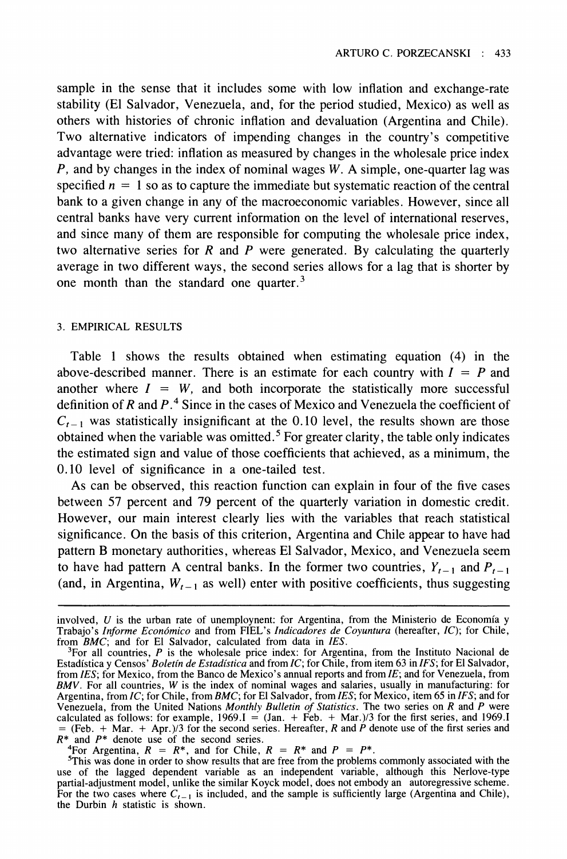**sample in the sense that it includes some with low inflation and exchange-rate stability (E1 Salvador, Venezuela, and, for the period studied, Mexico) as well as others with histories of chronic inflation and devaluation (Argentina and Chile). Two alternative indicators of impending changes in the country's competitive advantage were tried: inflation as measured by changes in the wholesale price index P, and by changes in the index of nominal wages W. A simple, one-quarter lag was**  specified  $n = 1$  so as to capture the immediate but systematic reaction of the central **bank to a given change in any of the macroeconomic variables. However, since all central banks have very current information on the level of international reserves, and since many of them are responsible for computing the wholesale price index, two alternative series for R and P were generated. By calculating the quarterly average in two different ways, the second series allows for a lag that is shorter by one month than the standard one quarter.3** 

### **3. EMPIRICAL RESULTS**

**Table 1 shows the results obtained when estimating equation (4) in the**  above-described manner. There is an estimate for each country with  $I = P$  and another where  $I = W$ , and both incorporate the statistically more successful **definition of R and P.4 Since in the cases of Mexico and Venezuela the coefficient of**   $C_{t-1}$  was statistically insignificant at the 0.10 level, the results shown are those obtained when the variable was omitted.<sup>5</sup> For greater clarity, the table only indicates **the estimated sign and value of those coefficients that achieved, as a minimum, the 0.10 level of significance in a one-tailed test.** 

**As can be observed, this reaction function can explain in four of the five cases between 57 percent and 79 percent of the quarterly variation in domestic credit. However, our main interest clearly lies with the variables that reach statistical significance. On the basis of this criterion, Argentina and Chile appear to have had pattern B monetary authorities, whereas E1 Salvador, Mexico, and Venezuela seem**  to have had pattern A central banks. In the former two countries,  $Y_{t-1}$  and  $P_{t-1}$ (and, in Argentina,  $W_{t-1}$  as well) enter with positive coefficients, thus suggesting

**involved, U is the urban rate of unemploynent; for Argentina, from the Ministerio de Economia y Trabajo's lnforme Economico and from FIEL's lndicadores de Coyuntura (hereafter, lC); for Chile, from BMC; and for El Salvador, calculated from data in lES.** 

<sup>&</sup>lt;sup>3</sup>For all countries, P is the wholesale price index: for Argentina, from the Instituto Nacional de **Estadistica y Censos' Boletin de Estadistica and from lC; for Chile, from item 63 in lFS; for El Salvador, from lES; for Mexico, from the Banco de Mexico's annual reports and from lE; and for Venezuela, from BMV. For all countries, W is the index of nominal wages and salaries, usually in manufacturing: for Argentina, from lC; for Chile, from BMC; for El Salvador, from lES; for Mexico, item 65 in lFS; and for Venezuela, from the United Nations Monthly Bulletin of Statistics. The two series on R and P were**  calculated as follows: for example,  $1969.1 = (Jan. + Feb. + Mar.)/3$  for the first series, and 1969.I<br>= (Feb. + Mar. + Apr.)/3 for the second series. Hereafter, R and P denote use of the first series and  $R^*$  and  $P^*$  denote use o

<sup>&</sup>lt;sup>4</sup>For Argentina,  $R = R^*$ , and for Chile,  $R = R^*$  and  $P = P^*$ .

**sThis was done in order to show results that are free from the problems commonly associated with the use of the lagged dependent variable as an independent variable, although this Nerlove-type partial-adjustment model, unlike the similar Koyck model, does not embody an autoregressive scheme.**  For the two cases where  $C_{t-1}$  is included, and the sample is sufficiently large (Argentina and Chile), **the Durbin h statistic is shown.**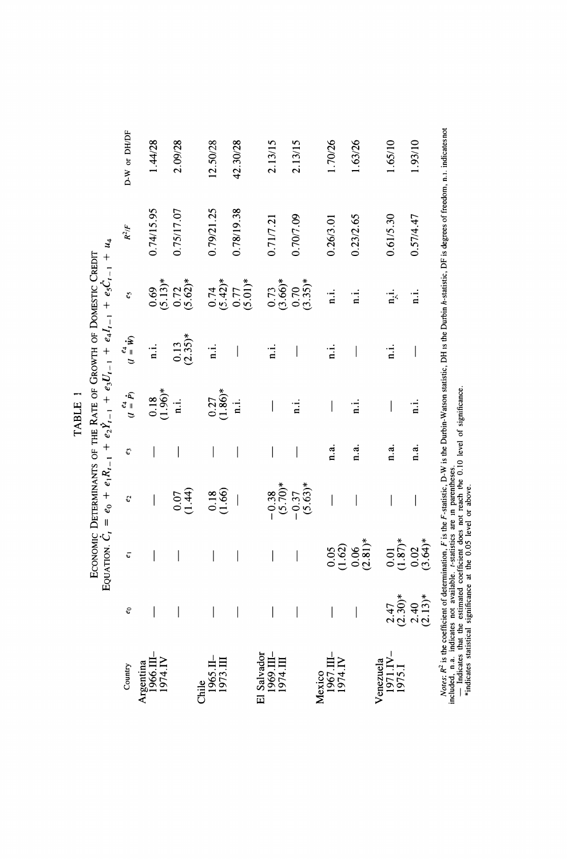TABLE 1

 $+ e_2 U + e_3 U + e_4 U + e_5 C + u_6$ ECONOMIC DETERMINANTS OF THE RATE OF GROWTH OF DOMESTIC CREDIT<br>EQUATION  $C = \epsilon_0 + \epsilon_1 R$ ,  $+ \epsilon_2 V$ ,  $+ \epsilon_3 U$ ,  $+ \epsilon_4 U$ ,  $+ \epsilon_5 C$ ,  $+ \epsilon_5 C$ ,  $+ \epsilon_6 C$ 

**Country eo el e2 e3 (1 \_ P) (I- W) es R2lF D-W or DH/DF**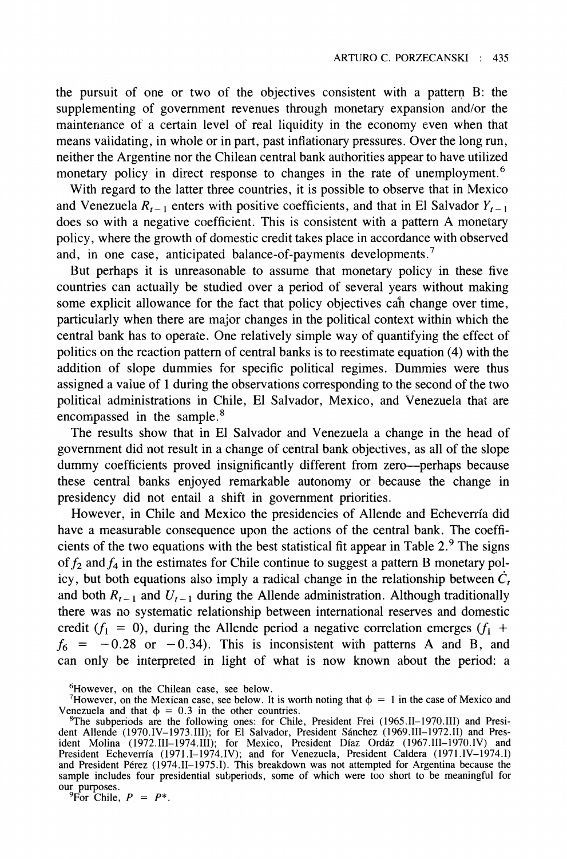**the pursuit of one or two of the objectives consistent with a pattern B: the supplementing of government revenues through monetary expansion and/or the maintenance of a certain level of real liquidity in the economy even when that means validating, in whole or in part, past inflationary pressures. Over the long run, neither the Argentine nor the Chilean central bank authorities appear to have utilized monetary policy in direct response to changes in the rate of unemployment.6** 

**With regard to the latter three countries, it is possible to observe that in Mexico**  and Venezuela  $R_{t-1}$  enters with positive coefficients, and that in El Salvador  $Y_{t-1}$ **does so with a negative coefficient. This is consistent with a pattern A monetary policy, where the growth of domestic credit takes place in accordance with observed and, in one case, anticipated balance-of-payments developments.7** 

But perhaps it is unreasonable to assume that monetary policy in these five **countries can actually be studied over a period of several years without making**  some explicit allowance for the fact that policy objectives can change over time, particularly when there are major changes in the political context within which the central bank has to operate. One relatively simple way of quantifying the effect of **politics on the reaction pattern of central banks is to reestimate equation (4) with the addition of slope dummies for specific political regimes. Dummies were thus assigned a value of 1 during the observations corresponding to the second of the two politicai administrations in Chile, E1 Salvador, Mexico, and Venezuela that are encompassed in the sample.8** 

**The results show that in E1 Salvador and Venezuela a change in the head of government did not result in a change of central bank objectives, as all of the slope**  dummy coefficients proved insignificantly different from zero-perhaps because **these central banks enjoyed remarkable autonomy or because the change in presidency did not entail a shift in government priorities.** 

**However, in Chile and Mexico the presidencies of Allende and Echeverria did**  have a measurable consequence upon the actions of the central bank. The coeffi**cients of the two equations with the best statistical fit appear in Table 2.9 The signs**  of  $f_2$  and  $f_4$  in the estimates for Chile continue to suggest a pattern B monetary policy, but both equations also imply a radical change in the relationship between  $\dot{C}_t$ and both  $R_{t-1}$  and  $U_{t-1}$  during the Allende administration. Although traditionally **there was no systematic relationship between international reserves and domestic**  credit ( $f_1 = 0$ ), during the Allende period a negative correlation emerges ( $f_1$  +  $f_6 = -0.28$  or  $-0.34$ ). This is inconsistent with patterns A and B, and **can only be interpreted in light of what is now known about the period: a** 

 ${}^{9}$ For Chile,  $P = P^*$ .

**<sup>6</sup>However, on the Chilean case, see below.** 

<sup>&</sup>lt;sup>7</sup>However, on the Mexican case, see below. It is worth noting that  $\phi = 1$  in the case of Mexico and Venezuela and that  $\phi = 0.3$  in the other countries.

**<sup>8</sup>The subperiods are the following ones: for Chile, President Frei (1965.II-1970.III) and President Allende (1970.IV-1973.III); for El Salvador, President Sanchez (1969.III-1972.II) and Pres-ident Molina (1972.III-1974.III); for Mexico, President Diaz Ordaz (1967.III-1970.IV) and**  President Echeverría (1971.I–1974.IV); and for Venezuela, President Caldera (1971.IV–1974.I) and President Pérez (1974.II–1975.I). This breakdown was not attempted for Argentina because the **sample includes four presidential subperiods, some of which were too short to be meaningful for our purposes.**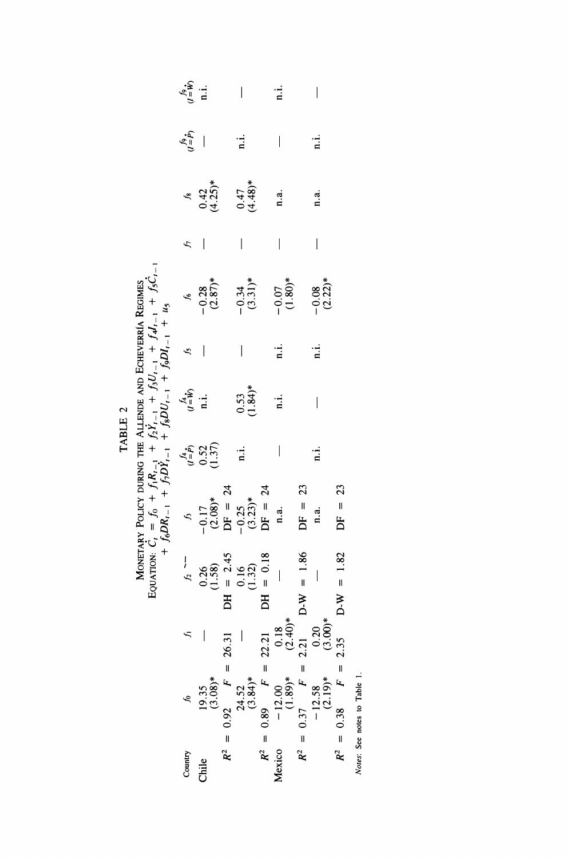|  |                                                                                                                                                                                                                               | $\tilde{r}^{(n)}_{\epsilon}$ | $\mathbf{u}$                                              | $\begin{array}{c} \end{array}$ | $\ddot{a}$                              |                                    |                          |                                      |
|--|-------------------------------------------------------------------------------------------------------------------------------------------------------------------------------------------------------------------------------|------------------------------|-----------------------------------------------------------|--------------------------------|-----------------------------------------|------------------------------------|--------------------------|--------------------------------------|
|  | $a^{6} = p$                                                                                                                                                                                                                   | $\bigg $                     | $\ddot{a}$ .                                              | $\mid$                         |                                         | $\ddot{a}$                         |                          |                                      |
|  | MONETARY POLICY DURING THE ALLENDE AND ECHEVERRÍA REGIMES<br>EQUATION: $C_t = f_0 + f_1 R_{t-1} + f_2 Y_{t-1} + f_3 U_{t-1} + f_4 I_{t-1} + f_5 C_{t-1}$<br>+ $f_6 DR_{t-1} + f_7D Y_{t-1} + f_8DU_{t-1} + f_9DU_{t-1} + u_5$ | $\zeta$                      | $0.42$<br>$(4.25)$ *                                      | $0.47$<br>$(4.48)*$            | n.a.                                    |                                    | 1.3.                     |                                      |
|  |                                                                                                                                                                                                                               | $\mathcal{L}$                |                                                           | $\overline{\phantom{a}}$       | $\overline{\phantom{a}}$                |                                    | $\overline{\phantom{a}}$ |                                      |
|  |                                                                                                                                                                                                                               | Ś                            | $-0.28$<br>(2.87)*                                        | $-0.34$<br>(3.31)*             | $-0.07$<br>(1.80)*                      |                                    | $-0.08$<br>(2.22)*       |                                      |
|  |                                                                                                                                                                                                                               | $\mathcal{L}$                |                                                           | $\bigg $                       | $\ddot{a}$ .                            |                                    | $\ddot{a}$               |                                      |
|  |                                                                                                                                                                                                                               | $\mu = W$                    | $\ddot{a}$ .                                              | $0.53$<br>$(1.84)$ *           | $\mathbf{u}$                            |                                    | $\overline{\phantom{a}}$ |                                      |
|  |                                                                                                                                                                                                                               | $\mu_{i}^{(n)}(l=n)$         | $\frac{0.52}{(1.37)}$                                     | $\ddot{a}$                     |                                         |                                    | $\ddot{a}$ .             |                                      |
|  |                                                                                                                                                                                                                               | $\mathfrak{c}$               | $DF = 24$<br>$(2.08)*$<br>$-0.17$                         | $-0.25$<br>$(3.23)*$           | $DF = 24$<br>n.a.                       | $DF = 23$                          | n.a.                     | DF = $23$                            |
|  |                                                                                                                                                                                                                               | $f_2$ --                     | $= 2.45$<br>$\begin{array}{c} 0.26 \\ (1.58) \end{array}$ | $0.16$<br>(1.32)               | $PH = 0.18$<br>$\overline{\phantom{a}}$ |                                    |                          |                                      |
|  |                                                                                                                                                                                                                               | $\zeta$                      | E                                                         | $\overline{\phantom{a}}$       | $0.18$<br>$(2.40)*$                     | $R^2 = 0.37$ $F = 2.21$ D-W = 1.86 | $0.20$<br>$(3.00)*$      | $R^2 = 0.38$ $F = 2.35$ $D-W = 1.82$ |
|  |                                                                                                                                                                                                                               |                              | $R^2 = 0.92$ $F = 26.31$                                  |                                | $R^2 = 0.89$ $F = 22.21$                |                                    |                          |                                      |
|  |                                                                                                                                                                                                                               | Ŝ                            | $(3.08)*$<br>19.35                                        | $24.52$<br>(3.84)*             | $-12.00$<br>(1.89)*                     |                                    | $-12.58$<br>(2.19)*      |                                      |
|  |                                                                                                                                                                                                                               | Country                      | Chile                                                     |                                | Mexico                                  |                                    |                          |                                      |

TABLE 2